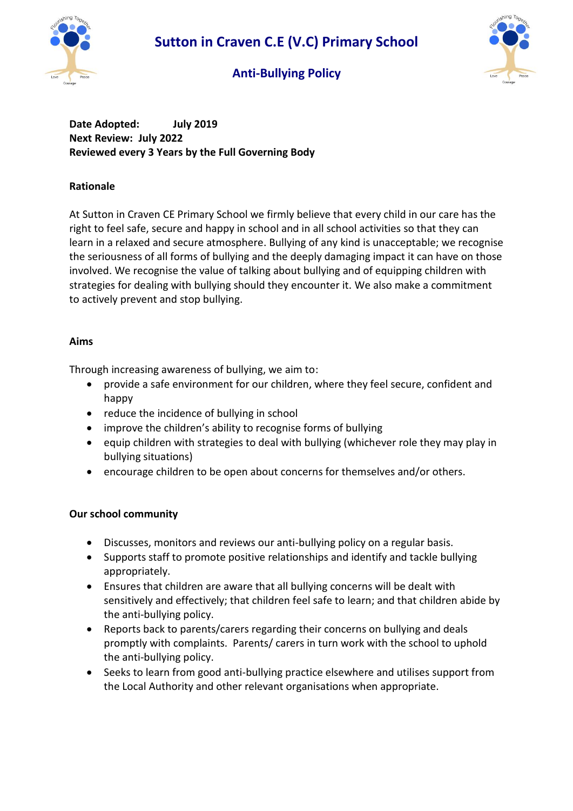

# **Anti-Bullying Policy**



**Date Adopted: July 2019 Next Review: July 2022 Reviewed every 3 Years by the Full Governing Body**

# **Rationale**

At Sutton in Craven CE Primary School we firmly believe that every child in our care has the right to feel safe, secure and happy in school and in all school activities so that they can learn in a relaxed and secure atmosphere. Bullying of any kind is unacceptable; we recognise the seriousness of all forms of bullying and the deeply damaging impact it can have on those involved. We recognise the value of talking about bullying and of equipping children with strategies for dealing with bullying should they encounter it. We also make a commitment to actively prevent and stop bullying.

# **Aims**

Through increasing awareness of bullying, we aim to:

- provide a safe environment for our children, where they feel secure, confident and happy
- reduce the incidence of bullying in school
- improve the children's ability to recognise forms of bullying
- equip children with strategies to deal with bullying (whichever role they may play in bullying situations)
- encourage children to be open about concerns for themselves and/or others.

# **Our school community**

- Discusses, monitors and reviews our anti-bullying policy on a regular basis.
- Supports staff to promote positive relationships and identify and tackle bullying appropriately.
- Ensures that children are aware that all bullying concerns will be dealt with sensitively and effectively; that children feel safe to learn; and that children abide by the anti-bullying policy.
- Reports back to parents/carers regarding their concerns on bullying and deals promptly with complaints. Parents/ carers in turn work with the school to uphold the anti-bullying policy.
- Seeks to learn from good anti-bullying practice elsewhere and utilises support from the Local Authority and other relevant organisations when appropriate.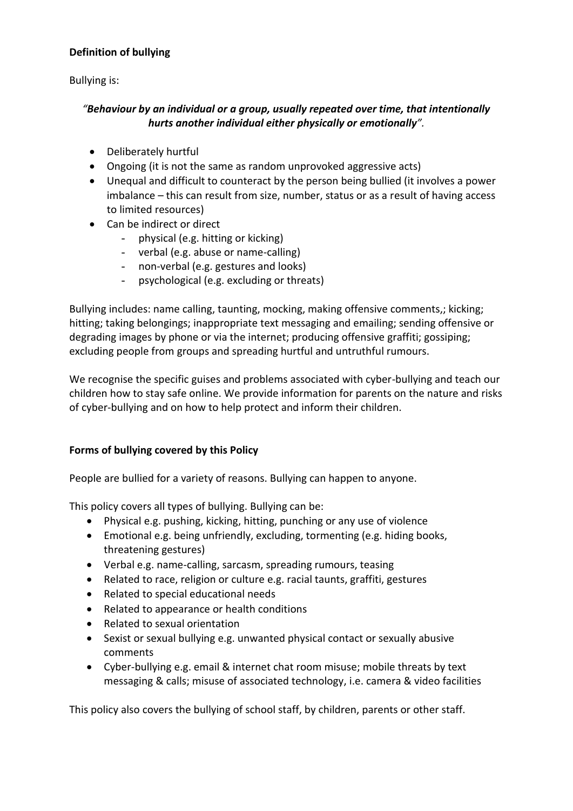### **Definition of bullying**

Bullying is:

### *"Behaviour by an individual or a group, usually repeated over time, that intentionally hurts another individual either physically or emotionally".*

- Deliberately hurtful
- Ongoing (it is not the same as random unprovoked aggressive acts)
- Unequal and difficult to counteract by the person being bullied (it involves a power imbalance – this can result from size, number, status or as a result of having access to limited resources)
- Can be indirect or direct
	- physical (e.g. hitting or kicking)
	- verbal (e.g. abuse or name-calling)
	- non-verbal (e.g. gestures and looks)
	- psychological (e.g. excluding or threats)

Bullying includes: name calling, taunting, mocking, making offensive comments,; kicking; hitting; taking belongings; inappropriate text messaging and emailing; sending offensive or degrading images by phone or via the internet; producing offensive graffiti; gossiping; excluding people from groups and spreading hurtful and untruthful rumours.

We recognise the specific guises and problems associated with cyber-bullying and teach our children how to stay safe online. We provide information for parents on the nature and risks of cyber-bullying and on how to help protect and inform their children.

# **Forms of bullying covered by this Policy**

People are bullied for a variety of reasons. Bullying can happen to anyone.

This policy covers all types of bullying. Bullying can be:

- Physical e.g. pushing, kicking, hitting, punching or any use of violence
- Emotional e.g. being unfriendly, excluding, tormenting (e.g. hiding books, threatening gestures)
- Verbal e.g. name-calling, sarcasm, spreading rumours, teasing
- Related to race, religion or culture e.g. racial taunts, graffiti, gestures
- Related to special educational needs
- Related to appearance or health conditions
- Related to sexual orientation
- Sexist or sexual bullying e.g. unwanted physical contact or sexually abusive comments
- Cyber-bullying e.g. email & internet chat room misuse; mobile threats by text messaging & calls; misuse of associated technology, i.e. camera & video facilities

This policy also covers the bullying of school staff, by children, parents or other staff.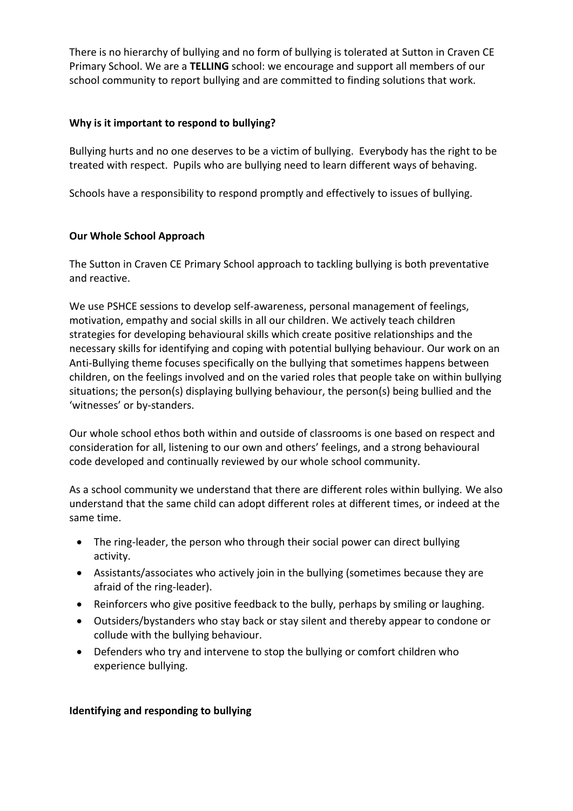There is no hierarchy of bullying and no form of bullying is tolerated at Sutton in Craven CE Primary School. We are a **TELLING** school: we encourage and support all members of our school community to report bullying and are committed to finding solutions that work.

#### **Why is it important to respond to bullying?**

Bullying hurts and no one deserves to be a victim of bullying. Everybody has the right to be treated with respect. Pupils who are bullying need to learn different ways of behaving.

Schools have a responsibility to respond promptly and effectively to issues of bullying.

#### **Our Whole School Approach**

The Sutton in Craven CE Primary School approach to tackling bullying is both preventative and reactive.

We use PSHCE sessions to develop self-awareness, personal management of feelings, motivation, empathy and social skills in all our children. We actively teach children strategies for developing behavioural skills which create positive relationships and the necessary skills for identifying and coping with potential bullying behaviour. Our work on an Anti-Bullying theme focuses specifically on the bullying that sometimes happens between children, on the feelings involved and on the varied roles that people take on within bullying situations; the person(s) displaying bullying behaviour, the person(s) being bullied and the 'witnesses' or by-standers.

Our whole school ethos both within and outside of classrooms is one based on respect and consideration for all, listening to our own and others' feelings, and a strong behavioural code developed and continually reviewed by our whole school community.

As a school community we understand that there are different roles within bullying. We also understand that the same child can adopt different roles at different times, or indeed at the same time.

- The ring-leader, the person who through their social power can direct bullying activity.
- Assistants/associates who actively join in the bullying (sometimes because they are afraid of the ring-leader).
- Reinforcers who give positive feedback to the bully, perhaps by smiling or laughing.
- Outsiders/bystanders who stay back or stay silent and thereby appear to condone or collude with the bullying behaviour.
- Defenders who try and intervene to stop the bullying or comfort children who experience bullying.

#### **Identifying and responding to bullying**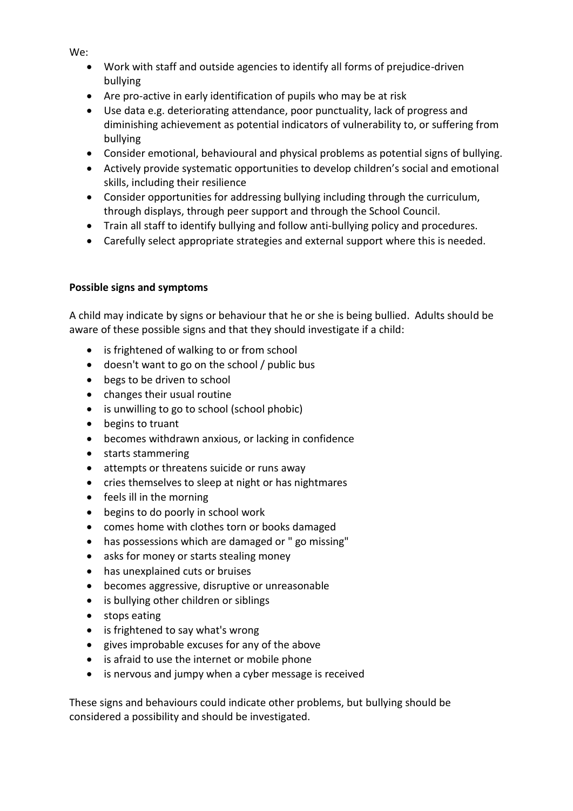Work with staff and outside agencies to identify all forms of prejudice-driven bullying

- Are pro-active in early identification of pupils who may be at risk
- Use data e.g. deteriorating attendance, poor punctuality, lack of progress and diminishing achievement as potential indicators of vulnerability to, or suffering from bullying
- Consider emotional, behavioural and physical problems as potential signs of bullying.
- Actively provide systematic opportunities to develop children's social and emotional skills, including their resilience
- Consider opportunities for addressing bullying including through the curriculum, through displays, through peer support and through the School Council.
- Train all staff to identify bullying and follow anti-bullying policy and procedures.
- Carefully select appropriate strategies and external support where this is needed.

### **Possible signs and symptoms**

A child may indicate by signs or behaviour that he or she is being bullied. Adults should be aware of these possible signs and that they should investigate if a child:

- is frightened of walking to or from school
- doesn't want to go on the school / public bus
- begs to be driven to school
- changes their usual routine
- is unwilling to go to school (school phobic)
- begins to truant
- becomes withdrawn anxious, or lacking in confidence
- starts stammering
- attempts or threatens suicide or runs away
- cries themselves to sleep at night or has nightmares
- feels ill in the morning
- begins to do poorly in school work
- comes home with clothes torn or books damaged
- has possessions which are damaged or " go missing"
- asks for money or starts stealing money
- has unexplained cuts or bruises
- becomes aggressive, disruptive or unreasonable
- is bullying other children or siblings
- stops eating
- is frightened to say what's wrong
- gives improbable excuses for any of the above
- is afraid to use the internet or mobile phone
- is nervous and jumpy when a cyber message is received

These signs and behaviours could indicate other problems, but bullying should be considered a possibility and should be investigated.

We: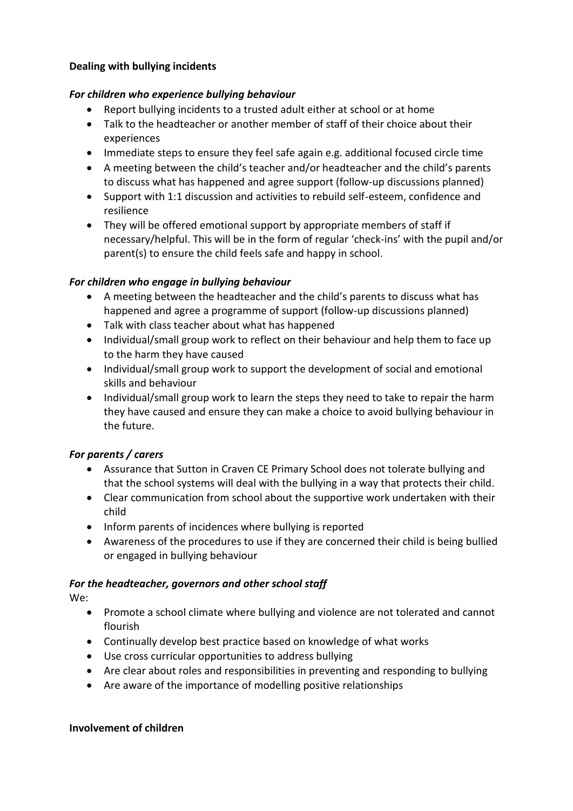#### **Dealing with bullying incidents**

#### *For children who experience bullying behaviour*

- Report bullying incidents to a trusted adult either at school or at home
- Talk to the headteacher or another member of staff of their choice about their experiences
- Immediate steps to ensure they feel safe again e.g. additional focused circle time
- A meeting between the child's teacher and/or headteacher and the child's parents to discuss what has happened and agree support (follow-up discussions planned)
- Support with 1:1 discussion and activities to rebuild self-esteem, confidence and resilience
- They will be offered emotional support by appropriate members of staff if necessary/helpful. This will be in the form of regular 'check-ins' with the pupil and/or parent(s) to ensure the child feels safe and happy in school.

### *For children who engage in bullying behaviour*

- A meeting between the headteacher and the child's parents to discuss what has happened and agree a programme of support (follow-up discussions planned)
- Talk with class teacher about what has happened
- Individual/small group work to reflect on their behaviour and help them to face up to the harm they have caused
- Individual/small group work to support the development of social and emotional skills and behaviour
- Individual/small group work to learn the steps they need to take to repair the harm they have caused and ensure they can make a choice to avoid bullying behaviour in the future.

### *For parents / carers*

- Assurance that Sutton in Craven CE Primary School does not tolerate bullying and that the school systems will deal with the bullying in a way that protects their child.
- Clear communication from school about the supportive work undertaken with their child
- Inform parents of incidences where bullying is reported
- Awareness of the procedures to use if they are concerned their child is being bullied or engaged in bullying behaviour

### *For the headteacher, governors and other school staff*

We:

- Promote a school climate where bullying and violence are not tolerated and cannot flourish
- Continually develop best practice based on knowledge of what works
- Use cross curricular opportunities to address bullying
- Are clear about roles and responsibilities in preventing and responding to bullying
- Are aware of the importance of modelling positive relationships

#### **Involvement of children**